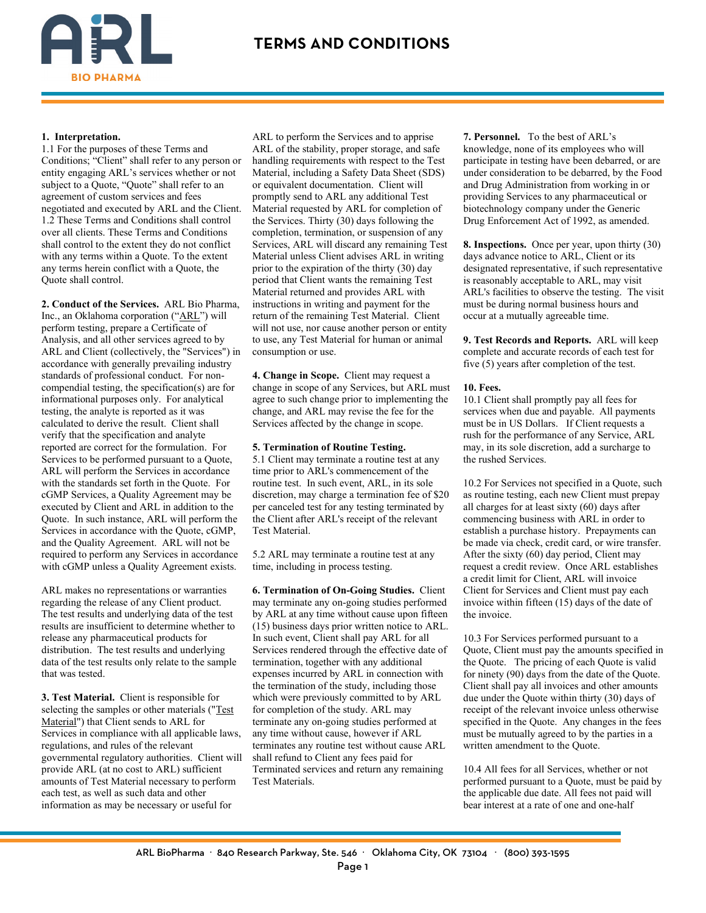

#### **1. Interpretation.**

1.1 For the purposes of these Terms and Conditions; "Client" shall refer to any person or entity engaging ARL's services whether or not subject to a Quote, "Quote" shall refer to an agreement of custom services and fees negotiated and executed by ARL and the Client. 1.2 These Terms and Conditions shall control over all clients. These Terms and Conditions shall control to the extent they do not conflict with any terms within a Quote. To the extent any terms herein conflict with a Quote, the Quote shall control.

**2. Conduct of the Services.** ARL Bio Pharma, Inc., an Oklahoma corporation ("ARL") will perform testing, prepare a Certificate of Analysis, and all other services agreed to by ARL and Client (collectively, the "Services") in accordance with generally prevailing industry standards of professional conduct. For noncompendial testing, the specification(s) are for informational purposes only. For analytical testing, the analyte is reported as it was calculated to derive the result. Client shall verify that the specification and analyte reported are correct for the formulation. For Services to be performed pursuant to a Quote, ARL will perform the Services in accordance with the standards set forth in the Quote. For cGMP Services, a Quality Agreement may be executed by Client and ARL in addition to the Quote. In such instance, ARL will perform the Services in accordance with the Quote, cGMP, and the Quality Agreement. ARL will not be required to perform any Services in accordance with cGMP unless a Quality Agreement exists.

ARL makes no representations or warranties regarding the release of any Client product. The test results and underlying data of the test results are insufficient to determine whether to release any pharmaceutical products for distribution. The test results and underlying data of the test results only relate to the sample that was tested.

**3. Test Material.** Client is responsible for selecting the samples or other materials ("Test Material") that Client sends to ARL for Services in compliance with all applicable laws, regulations, and rules of the relevant governmental regulatory authorities. Client will provide ARL (at no cost to ARL) sufficient amounts of Test Material necessary to perform each test, as well as such data and other information as may be necessary or useful for

ARL to perform the Services and to apprise ARL of the stability, proper storage, and safe handling requirements with respect to the Test Material, including a Safety Data Sheet (SDS) or equivalent documentation. Client will promptly send to ARL any additional Test Material requested by ARL for completion of the Services. Thirty (30) days following the completion, termination, or suspension of any Services, ARL will discard any remaining Test Material unless Client advises ARL in writing prior to the expiration of the thirty (30) day period that Client wants the remaining Test Material returned and provides ARL with instructions in writing and payment for the return of the remaining Test Material. Client will not use, nor cause another person or entity to use, any Test Material for human or animal consumption or use.

**4. Change in Scope.** Client may request a change in scope of any Services, but ARL must agree to such change prior to implementing the change, and ARL may revise the fee for the Services affected by the change in scope.

#### **5. Termination of Routine Testing.**

5.1 Client may terminate a routine test at any time prior to ARL's commencement of the routine test. In such event, ARL, in its sole discretion, may charge a termination fee of \$20 per canceled test for any testing terminated by the Client after ARL's receipt of the relevant Test Material.

5.2 ARL may terminate a routine test at any time, including in process testing.

**6. Termination of On-Going Studies.** Client may terminate any on-going studies performed by ARL at any time without cause upon fifteen (15) business days prior written notice to ARL. In such event, Client shall pay ARL for all Services rendered through the effective date of termination, together with any additional expenses incurred by ARL in connection with the termination of the study, including those which were previously committed to by ARL for completion of the study. ARL may terminate any on-going studies performed at any time without cause, however if ARL terminates any routine test without cause ARL shall refund to Client any fees paid for Terminated services and return any remaining Test Materials.

**7. Personnel.** To the best of ARL's knowledge, none of its employees who will participate in testing have been debarred, or are under consideration to be debarred, by the Food and Drug Administration from working in or providing Services to any pharmaceutical or biotechnology company under the Generic Drug Enforcement Act of 1992, as amended.

**8. Inspections.** Once per year, upon thirty (30) days advance notice to ARL, Client or its designated representative, if such representative is reasonably acceptable to ARL, may visit ARL's facilities to observe the testing. The visit must be during normal business hours and occur at a mutually agreeable time.

**9. Test Records and Reports.** ARL will keep complete and accurate records of each test for five (5) years after completion of the test.

### **10. Fees.**

10.1 Client shall promptly pay all fees for services when due and payable. All payments must be in US Dollars. If Client requests a rush for the performance of any Service, ARL may, in its sole discretion, add a surcharge to the rushed Services.

10.2 For Services not specified in a Quote, such as routine testing, each new Client must prepay all charges for at least sixty (60) days after commencing business with ARL in order to establish a purchase history. Prepayments can be made via check, credit card, or wire transfer. After the sixty (60) day period, Client may request a credit review. Once ARL establishes a credit limit for Client, ARL will invoice Client for Services and Client must pay each invoice within fifteen (15) days of the date of the invoice.

10.3 For Services performed pursuant to a Quote, Client must pay the amounts specified in the Quote. The pricing of each Quote is valid for ninety (90) days from the date of the Quote. Client shall pay all invoices and other amounts due under the Quote within thirty (30) days of receipt of the relevant invoice unless otherwise specified in the Quote. Any changes in the fees must be mutually agreed to by the parties in a written amendment to the Quote.

10.4 All fees for all Services, whether or not performed pursuant to a Quote, must be paid by the applicable due date. All fees not paid will bear interest at a rate of one and one-half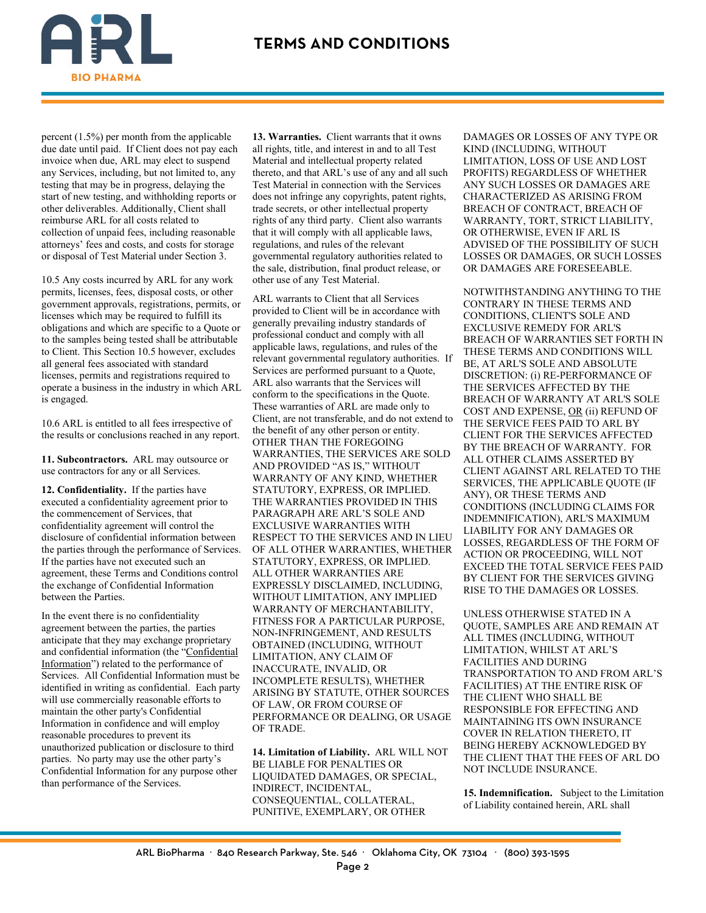

percent (1.5%) per month from the applicable due date until paid. If Client does not pay each invoice when due, ARL may elect to suspend any Services, including, but not limited to, any testing that may be in progress, delaying the start of new testing, and withholding reports or other deliverables. Additionally, Client shall reimburse ARL for all costs related to collection of unpaid fees, including reasonable attorneys' fees and costs, and costs for storage or disposal of Test Material under Section 3.

10.5 Any costs incurred by ARL for any work permits, licenses, fees, disposal costs, or other government approvals, registrations, permits, or licenses which may be required to fulfill its obligations and which are specific to a Quote or to the samples being tested shall be attributable to Client. This Section 10.5 however, excludes all general fees associated with standard licenses, permits and registrations required to operate a business in the industry in which ARL is engaged.

10.6 ARL is entitled to all fees irrespective of the results or conclusions reached in any report.

**11. Subcontractors.** ARL may outsource or use contractors for any or all Services.

**12. Confidentiality.** If the parties have executed a confidentiality agreement prior to the commencement of Services, that confidentiality agreement will control the disclosure of confidential information between the parties through the performance of Services. If the parties have not executed such an agreement, these Terms and Conditions control the exchange of Confidential Information between the Parties.

In the event there is no confidentiality agreement between the parties, the parties anticipate that they may exchange proprietary and confidential information (the "Confidential Information") related to the performance of Services. All Confidential Information must be identified in writing as confidential. Each party will use commercially reasonable efforts to maintain the other party's Confidential Information in confidence and will employ reasonable procedures to prevent its unauthorized publication or disclosure to third parties. No party may use the other party's Confidential Information for any purpose other than performance of the Services.

**13. Warranties.** Client warrants that it owns all rights, title, and interest in and to all Test Material and intellectual property related thereto, and that ARL's use of any and all such Test Material in connection with the Services does not infringe any copyrights, patent rights, trade secrets, or other intellectual property rights of any third party. Client also warrants that it will comply with all applicable laws, regulations, and rules of the relevant governmental regulatory authorities related to the sale, distribution, final product release, or other use of any Test Material.

ARL warrants to Client that all Services provided to Client will be in accordance with generally prevailing industry standards of professional conduct and comply with all applicable laws, regulations, and rules of the relevant governmental regulatory authorities. If Services are performed pursuant to a Quote, ARL also warrants that the Services will conform to the specifications in the Quote. These warranties of ARL are made only to Client, are not transferable, and do not extend to the benefit of any other person or entity. OTHER THAN THE FOREGOING WARRANTIES, THE SERVICES ARE SOLD AND PROVIDED "AS IS," WITHOUT WARRANTY OF ANY KIND, WHETHER STATUTORY, EXPRESS, OR IMPLIED. THE WARRANTIES PROVIDED IN THIS PARAGRAPH ARE ARL'S SOLE AND EXCLUSIVE WARRANTIES WITH RESPECT TO THE SERVICES AND IN LIEU OF ALL OTHER WARRANTIES, WHETHER STATUTORY, EXPRESS, OR IMPLIED. ALL OTHER WARRANTIES ARE EXPRESSLY DISCLAIMED, INCLUDING, WITHOUT LIMITATION, ANY IMPLIED WARRANTY OF MERCHANTABILITY, FITNESS FOR A PARTICULAR PURPOSE, NON-INFRINGEMENT, AND RESULTS OBTAINED (INCLUDING, WITHOUT LIMITATION, ANY CLAIM OF INACCURATE, INVALID, OR INCOMPLETE RESULTS), WHETHER ARISING BY STATUTE, OTHER SOURCES OF LAW, OR FROM COURSE OF PERFORMANCE OR DEALING, OR USAGE OF TRADE.

**14. Limitation of Liability.** ARL WILL NOT BE LIABLE FOR PENALTIES OR LIQUIDATED DAMAGES, OR SPECIAL, INDIRECT, INCIDENTAL, CONSEQUENTIAL, COLLATERAL, PUNITIVE, EXEMPLARY, OR OTHER

DAMAGES OR LOSSES OF ANY TYPE OR KIND (INCLUDING, WITHOUT LIMITATION, LOSS OF USE AND LOST PROFITS) REGARDLESS OF WHETHER ANY SUCH LOSSES OR DAMAGES ARE CHARACTERIZED AS ARISING FROM BREACH OF CONTRACT, BREACH OF WARRANTY, TORT, STRICT LIABILITY, OR OTHERWISE, EVEN IF ARL IS ADVISED OF THE POSSIBILITY OF SUCH LOSSES OR DAMAGES, OR SUCH LOSSES OR DAMAGES ARE FORESEEABLE.

NOTWITHSTANDING ANYTHING TO THE CONTRARY IN THESE TERMS AND CONDITIONS, CLIENT'S SOLE AND EXCLUSIVE REMEDY FOR ARL'S BREACH OF WARRANTIES SET FORTH IN THESE TERMS AND CONDITIONS WILL BE, AT ARL'S SOLE AND ABSOLUTE DISCRETION: (i) RE-PERFORMANCE OF THE SERVICES AFFECTED BY THE BREACH OF WARRANTY AT ARL'S SOLE COST AND EXPENSE, OR (ii) REFUND OF THE SERVICE FEES PAID TO ARL BY CLIENT FOR THE SERVICES AFFECTED BY THE BREACH OF WARRANTY. FOR ALL OTHER CLAIMS ASSERTED BY CLIENT AGAINST ARL RELATED TO THE SERVICES, THE APPLICABLE QUOTE (IF ANY), OR THESE TERMS AND CONDITIONS (INCLUDING CLAIMS FOR INDEMNIFICATION), ARL'S MAXIMUM LIABILITY FOR ANY DAMAGES OR LOSSES, REGARDLESS OF THE FORM OF ACTION OR PROCEEDING, WILL NOT EXCEED THE TOTAL SERVICE FEES PAID BY CLIENT FOR THE SERVICES GIVING RISE TO THE DAMAGES OR LOSSES.

UNLESS OTHERWISE STATED IN A QUOTE, SAMPLES ARE AND REMAIN AT ALL TIMES (INCLUDING, WITHOUT LIMITATION, WHILST AT ARL'S FACILITIES AND DURING TRANSPORTATION TO AND FROM ARL'S FACILITIES) AT THE ENTIRE RISK OF THE CLIENT WHO SHALL BE RESPONSIBLE FOR EFFECTING AND MAINTAINING ITS OWN INSURANCE COVER IN RELATION THERETO, IT BEING HEREBY ACKNOWLEDGED BY THE CLIENT THAT THE FEES OF ARL DO NOT INCLUDE INSURANCE.

**15. Indemnification.** Subject to the Limitation of Liability contained herein, ARL shall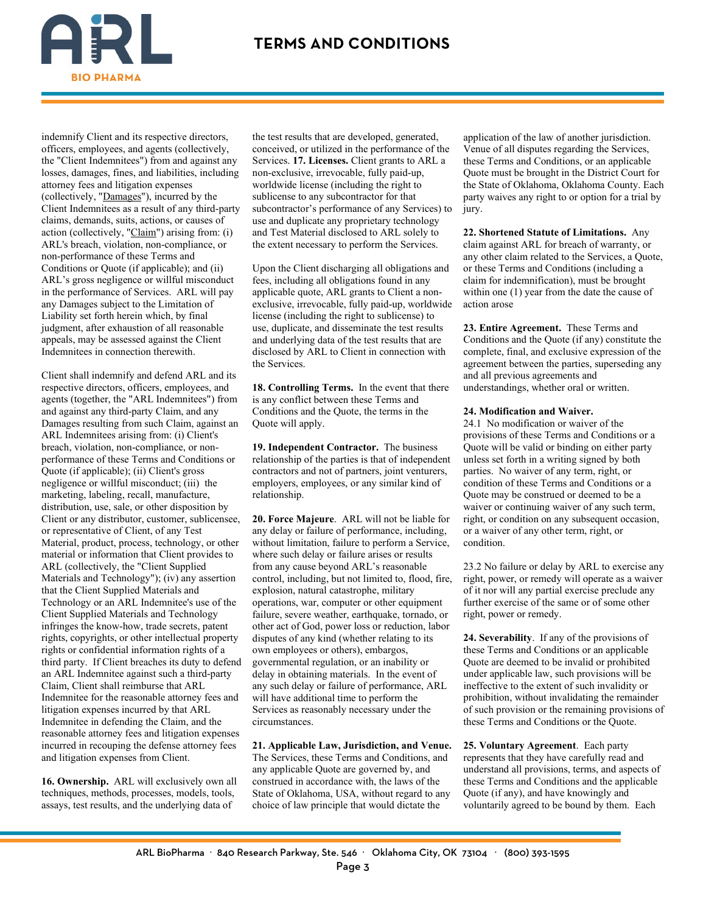

indemnify Client and its respective directors, officers, employees, and agents (collectively, the "Client Indemnitees") from and against any losses, damages, fines, and liabilities, including attorney fees and litigation expenses (collectively, "Damages"), incurred by the Client Indemnitees as a result of any third-party claims, demands, suits, actions, or causes of action (collectively, "Claim") arising from: (i) ARL's breach, violation, non-compliance, or non-performance of these Terms and Conditions or Quote (if applicable); and (ii) ARL's gross negligence or willful misconduct in the performance of Services. ARL will pay any Damages subject to the Limitation of Liability set forth herein which, by final judgment, after exhaustion of all reasonable appeals, may be assessed against the Client Indemnitees in connection therewith.

Client shall indemnify and defend ARL and its respective directors, officers, employees, and agents (together, the "ARL Indemnitees") from and against any third-party Claim, and any Damages resulting from such Claim, against an ARL Indemnitees arising from: (i) Client's breach, violation, non-compliance, or nonperformance of these Terms and Conditions or Quote (if applicable); (ii) Client's gross negligence or willful misconduct; (iii) the marketing, labeling, recall, manufacture, distribution, use, sale, or other disposition by Client or any distributor, customer, sublicensee, or representative of Client, of any Test Material, product, process, technology, or other material or information that Client provides to ARL (collectively, the "Client Supplied Materials and Technology"); (iv) any assertion that the Client Supplied Materials and Technology or an ARL Indemnitee's use of the Client Supplied Materials and Technology infringes the know-how, trade secrets, patent rights, copyrights, or other intellectual property rights or confidential information rights of a third party. If Client breaches its duty to defend an ARL Indemnitee against such a third-party Claim, Client shall reimburse that ARL Indemnitee for the reasonable attorney fees and litigation expenses incurred by that ARL Indemnitee in defending the Claim, and the reasonable attorney fees and litigation expenses incurred in recouping the defense attorney fees and litigation expenses from Client.

**16. Ownership.** ARL will exclusively own all techniques, methods, processes, models, tools, assays, test results, and the underlying data of

the test results that are developed, generated, conceived, or utilized in the performance of the Services. **17. Licenses.** Client grants to ARL a non-exclusive, irrevocable, fully paid-up, worldwide license (including the right to sublicense to any subcontractor for that subcontractor's performance of any Services) to use and duplicate any proprietary technology and Test Material disclosed to ARL solely to the extent necessary to perform the Services.

Upon the Client discharging all obligations and fees, including all obligations found in any applicable quote, ARL grants to Client a nonexclusive, irrevocable, fully paid-up, worldwide license (including the right to sublicense) to use, duplicate, and disseminate the test results and underlying data of the test results that are disclosed by ARL to Client in connection with the Services.

**18. Controlling Terms.** In the event that there is any conflict between these Terms and Conditions and the Quote, the terms in the Quote will apply.

**19. Independent Contractor.** The business relationship of the parties is that of independent contractors and not of partners, joint venturers, employers, employees, or any similar kind of relationship.

**20. Force Majeure**. ARL will not be liable for any delay or failure of performance, including, without limitation, failure to perform a Service, where such delay or failure arises or results from any cause beyond ARL's reasonable control, including, but not limited to, flood, fire, explosion, natural catastrophe, military operations, war, computer or other equipment failure, severe weather, earthquake, tornado, or other act of God, power loss or reduction, labor disputes of any kind (whether relating to its own employees or others), embargos, governmental regulation, or an inability or delay in obtaining materials. In the event of any such delay or failure of performance, ARL will have additional time to perform the Services as reasonably necessary under the circumstances.

**21. Applicable Law, Jurisdiction, and Venue.**  The Services, these Terms and Conditions, and any applicable Quote are governed by, and construed in accordance with, the laws of the State of Oklahoma, USA, without regard to any choice of law principle that would dictate the

application of the law of another jurisdiction. Venue of all disputes regarding the Services, these Terms and Conditions, or an applicable Quote must be brought in the District Court for the State of Oklahoma, Oklahoma County. Each party waives any right to or option for a trial by jury.

**22. Shortened Statute of Limitations.** Any claim against ARL for breach of warranty, or any other claim related to the Services, a Quote, or these Terms and Conditions (including a claim for indemnification), must be brought within one (1) year from the date the cause of action arose

**23. Entire Agreement.** These Terms and Conditions and the Quote (if any) constitute the complete, final, and exclusive expression of the agreement between the parties, superseding any and all previous agreements and understandings, whether oral or written.

#### **24. Modification and Waiver.**

24.1 No modification or waiver of the provisions of these Terms and Conditions or a Quote will be valid or binding on either party unless set forth in a writing signed by both parties. No waiver of any term, right, or condition of these Terms and Conditions or a Quote may be construed or deemed to be a waiver or continuing waiver of any such term, right, or condition on any subsequent occasion, or a waiver of any other term, right, or condition.

23.2 No failure or delay by ARL to exercise any right, power, or remedy will operate as a waiver of it nor will any partial exercise preclude any further exercise of the same or of some other right, power or remedy.

**24. Severability**. If any of the provisions of these Terms and Conditions or an applicable Quote are deemed to be invalid or prohibited under applicable law, such provisions will be ineffective to the extent of such invalidity or prohibition, without invalidating the remainder of such provision or the remaining provisions of these Terms and Conditions or the Quote.

**25. Voluntary Agreement**. Each party represents that they have carefully read and understand all provisions, terms, and aspects of these Terms and Conditions and the applicable Quote (if any), and have knowingly and voluntarily agreed to be bound by them. Each